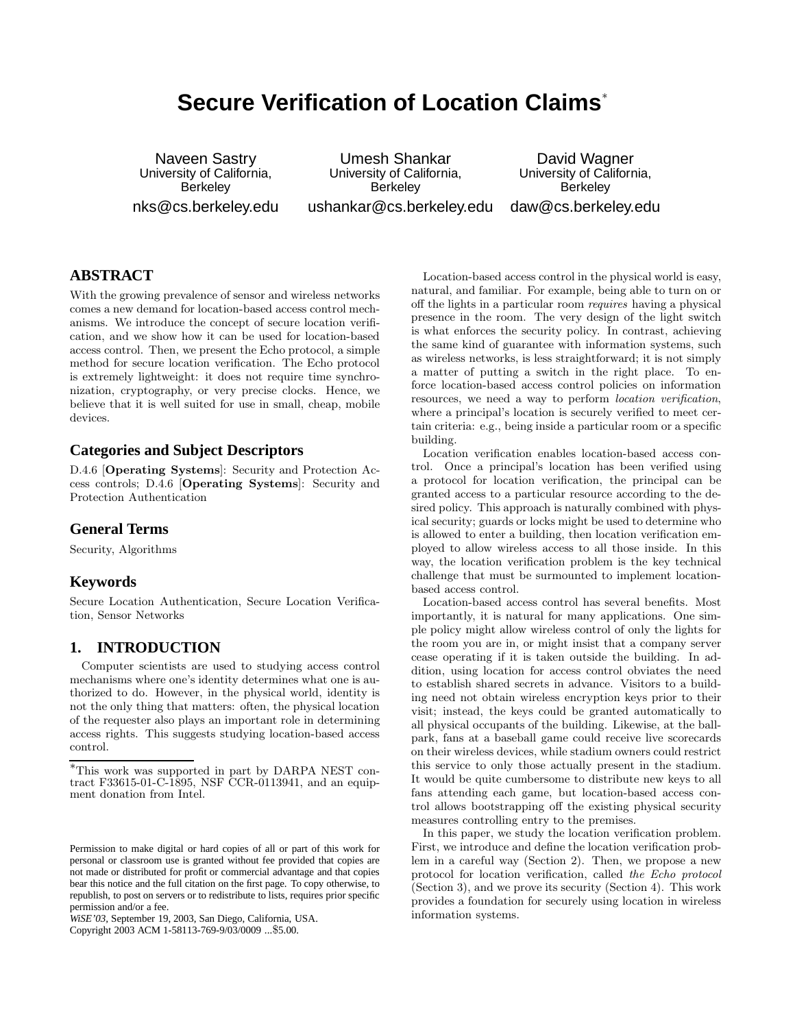# **Secure Verification of Location Claims**<sup>∗</sup>

Naveen Sastry University of California, **Berkeley** nks@cs.berkeley.edu

Umesh Shankar University of California, **Berkeley** ushankar@cs.berkeley.edu

David Wagner University of California, Berkeley daw@cs.berkeley.edu

# **ABSTRACT**

With the growing prevalence of sensor and wireless networks comes a new demand for location-based access control mechanisms. We introduce the concept of secure location verification, and we show how it can be used for location-based access control. Then, we present the Echo protocol, a simple method for secure location verification. The Echo protocol is extremely lightweight: it does not require time synchronization, cryptography, or very precise clocks. Hence, we believe that it is well suited for use in small, cheap, mobile devices.

## **Categories and Subject Descriptors**

D.4.6 [Operating Systems]: Security and Protection Access controls; D.4.6 [Operating Systems]: Security and Protection Authentication

## **General Terms**

Security, Algorithms

## **Keywords**

Secure Location Authentication, Secure Location Verification, Sensor Networks

#### **1. INTRODUCTION**

Computer scientists are used to studying access control mechanisms where one's identity determines what one is authorized to do. However, in the physical world, identity is not the only thing that matters: often, the physical location of the requester also plays an important role in determining access rights. This suggests studying location-based access control.

*WiSE'03,* September 19, 2003, San Diego, California, USA.

Copyright 2003 ACM 1-58113-769-9/03/0009 ...\$5.00.

Location-based access control in the physical world is easy, natural, and familiar. For example, being able to turn on or off the lights in a particular room requires having a physical presence in the room. The very design of the light switch is what enforces the security policy. In contrast, achieving the same kind of guarantee with information systems, such as wireless networks, is less straightforward; it is not simply a matter of putting a switch in the right place. To enforce location-based access control policies on information resources, we need a way to perform location verification, where a principal's location is securely verified to meet certain criteria: e.g., being inside a particular room or a specific building.

Location verification enables location-based access control. Once a principal's location has been verified using a protocol for location verification, the principal can be granted access to a particular resource according to the desired policy. This approach is naturally combined with physical security; guards or locks might be used to determine who is allowed to enter a building, then location verification employed to allow wireless access to all those inside. In this way, the location verification problem is the key technical challenge that must be surmounted to implement locationbased access control.

Location-based access control has several benefits. Most importantly, it is natural for many applications. One simple policy might allow wireless control of only the lights for the room you are in, or might insist that a company server cease operating if it is taken outside the building. In addition, using location for access control obviates the need to establish shared secrets in advance. Visitors to a building need not obtain wireless encryption keys prior to their visit; instead, the keys could be granted automatically to all physical occupants of the building. Likewise, at the ballpark, fans at a baseball game could receive live scorecards on their wireless devices, while stadium owners could restrict this service to only those actually present in the stadium. It would be quite cumbersome to distribute new keys to all fans attending each game, but location-based access control allows bootstrapping off the existing physical security measures controlling entry to the premises.

In this paper, we study the location verification problem. First, we introduce and define the location verification problem in a careful way (Section 2). Then, we propose a new protocol for location verification, called the Echo protocol (Section 3), and we prove its security (Section 4). This work provides a foundation for securely using location in wireless information systems.

<sup>∗</sup>This work was supported in part by DARPA NEST contract F33615-01-C-1895, NSF CCR-0113941, and an equipment donation from Intel.

Permission to make digital or hard copies of all or part of this work for personal or classroom use is granted without fee provided that copies are not made or distributed for profit or commercial advantage and that copies bear this notice and the full citation on the first page. To copy otherwise, to republish, to post on servers or to redistribute to lists, requires prior specific permission and/or a fee.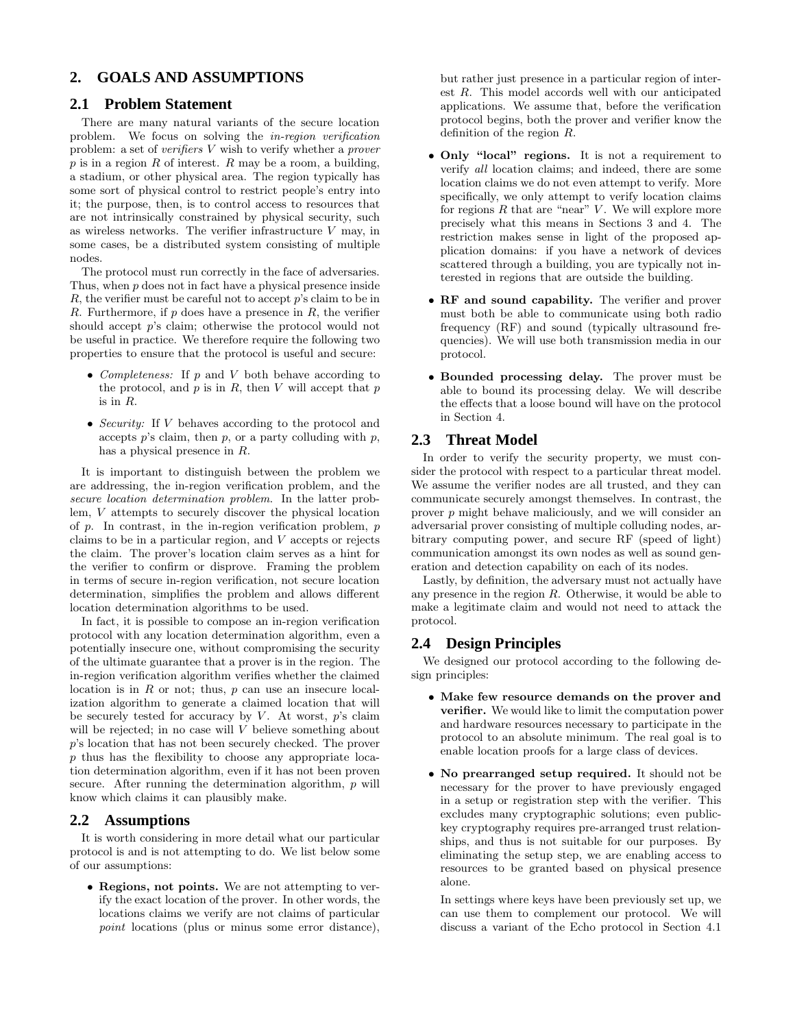# **2. GOALS AND ASSUMPTIONS**

#### **2.1 Problem Statement**

There are many natural variants of the secure location problem. We focus on solving the in-region verification problem: a set of verifiers V wish to verify whether a prover  $p$  is in a region  $R$  of interest.  $R$  may be a room, a building, a stadium, or other physical area. The region typically has some sort of physical control to restrict people's entry into it; the purpose, then, is to control access to resources that are not intrinsically constrained by physical security, such as wireless networks. The verifier infrastructure  $V$  may, in some cases, be a distributed system consisting of multiple nodes.

The protocol must run correctly in the face of adversaries. Thus, when  $p$  does not in fact have a physical presence inside  $R$ , the verifier must be careful not to accept  $p$ 's claim to be in R. Furthermore, if  $p$  does have a presence in  $R$ , the verifier should accept p's claim; otherwise the protocol would not be useful in practice. We therefore require the following two properties to ensure that the protocol is useful and secure:

- *Completeness:* If  $p$  and  $V$  both behave according to the protocol, and  $p$  is in  $R$ , then  $V$  will accept that  $p$ is in R.
- Security: If V behaves according to the protocol and accepts  $p$ 's claim, then  $p$ , or a party colluding with  $p$ , has a physical presence in R.

It is important to distinguish between the problem we are addressing, the in-region verification problem, and the secure location determination problem. In the latter problem, V attempts to securely discover the physical location of  $p$ . In contrast, in the in-region verification problem,  $p$ claims to be in a particular region, and V accepts or rejects the claim. The prover's location claim serves as a hint for the verifier to confirm or disprove. Framing the problem in terms of secure in-region verification, not secure location determination, simplifies the problem and allows different location determination algorithms to be used.

In fact, it is possible to compose an in-region verification protocol with any location determination algorithm, even a potentially insecure one, without compromising the security of the ultimate guarantee that a prover is in the region. The in-region verification algorithm verifies whether the claimed location is in  $R$  or not; thus,  $p$  can use an insecure localization algorithm to generate a claimed location that will be securely tested for accuracy by  $V$ . At worst,  $p$ 's claim will be rejected; in no case will V believe something about p's location that has not been securely checked. The prover  $p$  thus has the flexibility to choose any appropriate location determination algorithm, even if it has not been proven secure. After running the determination algorithm,  $p$  will know which claims it can plausibly make.

#### **2.2 Assumptions**

It is worth considering in more detail what our particular protocol is and is not attempting to do. We list below some of our assumptions:

• Regions, not points. We are not attempting to verify the exact location of the prover. In other words, the locations claims we verify are not claims of particular point locations (plus or minus some error distance),

but rather just presence in a particular region of interest R. This model accords well with our anticipated applications. We assume that, before the verification protocol begins, both the prover and verifier know the definition of the region R.

- Only "local" regions. It is not a requirement to verify all location claims; and indeed, there are some location claims we do not even attempt to verify. More specifically, we only attempt to verify location claims for regions  $R$  that are "near"  $V$ . We will explore more precisely what this means in Sections 3 and 4. The restriction makes sense in light of the proposed application domains: if you have a network of devices scattered through a building, you are typically not interested in regions that are outside the building.
- RF and sound capability. The verifier and prover must both be able to communicate using both radio frequency (RF) and sound (typically ultrasound frequencies). We will use both transmission media in our protocol.
- Bounded processing delay. The prover must be able to bound its processing delay. We will describe the effects that a loose bound will have on the protocol in Section 4.

## **2.3 Threat Model**

In order to verify the security property, we must consider the protocol with respect to a particular threat model. We assume the verifier nodes are all trusted, and they can communicate securely amongst themselves. In contrast, the prover p might behave maliciously, and we will consider an adversarial prover consisting of multiple colluding nodes, arbitrary computing power, and secure RF (speed of light) communication amongst its own nodes as well as sound generation and detection capability on each of its nodes.

Lastly, by definition, the adversary must not actually have any presence in the region R. Otherwise, it would be able to make a legitimate claim and would not need to attack the protocol.

## **2.4 Design Principles**

We designed our protocol according to the following design principles:

- Make few resource demands on the prover and verifier. We would like to limit the computation power and hardware resources necessary to participate in the protocol to an absolute minimum. The real goal is to enable location proofs for a large class of devices.
- No prearranged setup required. It should not be necessary for the prover to have previously engaged in a setup or registration step with the verifier. This excludes many cryptographic solutions; even publickey cryptography requires pre-arranged trust relationships, and thus is not suitable for our purposes. By eliminating the setup step, we are enabling access to resources to be granted based on physical presence alone.

In settings where keys have been previously set up, we can use them to complement our protocol. We will discuss a variant of the Echo protocol in Section 4.1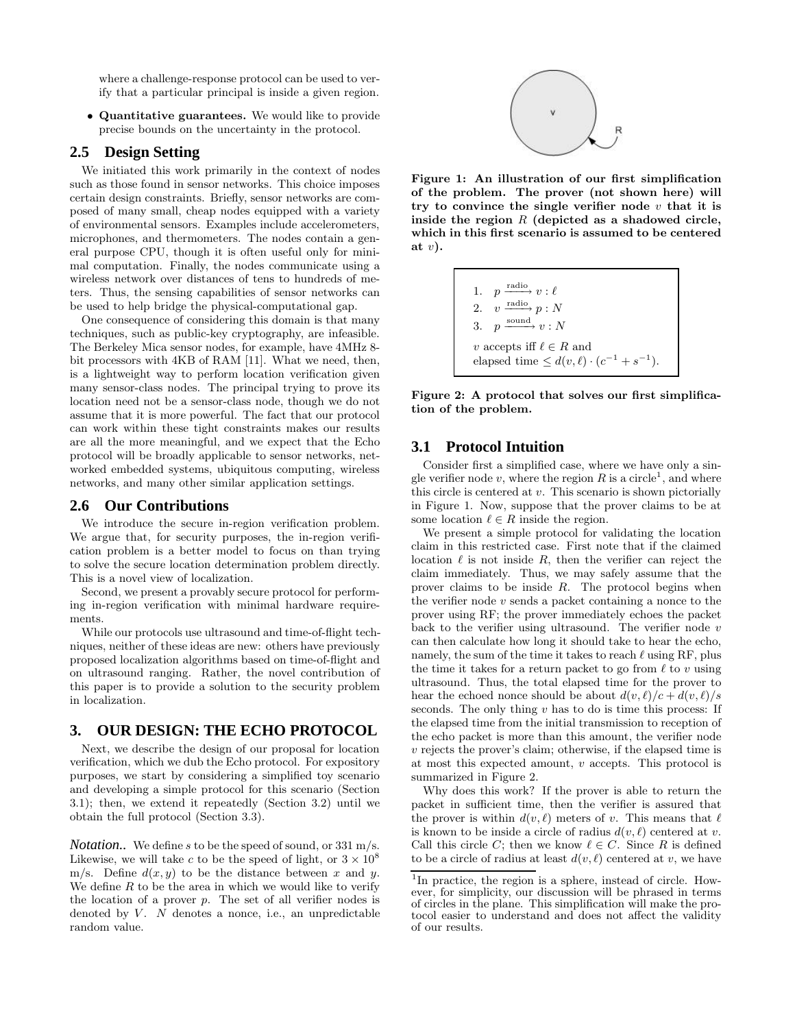where a challenge-response protocol can be used to verify that a particular principal is inside a given region.

• Quantitative guarantees. We would like to provide precise bounds on the uncertainty in the protocol.

#### **2.5 Design Setting**

We initiated this work primarily in the context of nodes such as those found in sensor networks. This choice imposes certain design constraints. Briefly, sensor networks are composed of many small, cheap nodes equipped with a variety of environmental sensors. Examples include accelerometers, microphones, and thermometers. The nodes contain a general purpose CPU, though it is often useful only for minimal computation. Finally, the nodes communicate using a wireless network over distances of tens to hundreds of meters. Thus, the sensing capabilities of sensor networks can be used to help bridge the physical-computational gap.

One consequence of considering this domain is that many techniques, such as public-key cryptography, are infeasible. The Berkeley Mica sensor nodes, for example, have 4MHz 8 bit processors with 4KB of RAM [11]. What we need, then, is a lightweight way to perform location verification given many sensor-class nodes. The principal trying to prove its location need not be a sensor-class node, though we do not assume that it is more powerful. The fact that our protocol can work within these tight constraints makes our results are all the more meaningful, and we expect that the Echo protocol will be broadly applicable to sensor networks, networked embedded systems, ubiquitous computing, wireless networks, and many other similar application settings.

### **2.6 Our Contributions**

We introduce the secure in-region verification problem. We argue that, for security purposes, the in-region verification problem is a better model to focus on than trying to solve the secure location determination problem directly. This is a novel view of localization.

Second, we present a provably secure protocol for performing in-region verification with minimal hardware requirements.

While our protocols use ultrasound and time-of-flight techniques, neither of these ideas are new: others have previously proposed localization algorithms based on time-of-flight and on ultrasound ranging. Rather, the novel contribution of this paper is to provide a solution to the security problem in localization.

## **3. OUR DESIGN: THE ECHO PROTOCOL**

Next, we describe the design of our proposal for location verification, which we dub the Echo protocol. For expository purposes, we start by considering a simplified toy scenario and developing a simple protocol for this scenario (Section 3.1); then, we extend it repeatedly (Section 3.2) until we obtain the full protocol (Section 3.3).

*Notation..* We define s to be the speed of sound, or 331 m/s. Likewise, we will take c to be the speed of light, or  $3 \times 10^8$ m/s. Define  $d(x, y)$  to be the distance between x and y. We define  $R$  to be the area in which we would like to verify the location of a prover  $p$ . The set of all verifier nodes is denoted by  $V$ .  $N$  denotes a nonce, i.e., an unpredictable random value.



Figure 1: An illustration of our first simplification of the problem. The prover (not shown here) will try to convince the single verifier node  $v$  that it is inside the region  $R$  (depicted as a shadowed circle, which in this first scenario is assumed to be centered at  $v$ ).

1.  $p \xrightarrow{\text{radio}} v : \ell$ 2.  $v \xrightarrow{\text{radio}} p : N$ 3. p sound v accepts iff  $\ell \in R$  and elapsed time  $\leq d(v, \ell) \cdot (c^{-1} + s^{-1}).$ 



#### **3.1 Protocol Intuition**

Consider first a simplified case, where we have only a single verifier node v, where the region R is a circle<sup>1</sup>, and where this circle is centered at  $v$ . This scenario is shown pictorially in Figure 1. Now, suppose that the prover claims to be at some location  $\ell \in R$  inside the region.

We present a simple protocol for validating the location claim in this restricted case. First note that if the claimed location  $\ell$  is not inside R, then the verifier can reject the claim immediately. Thus, we may safely assume that the prover claims to be inside  $R$ . The protocol begins when the verifier node  $v$  sends a packet containing a nonce to the prover using RF; the prover immediately echoes the packet back to the verifier using ultrasound. The verifier node  $v$ can then calculate how long it should take to hear the echo, namely, the sum of the time it takes to reach  $\ell$  using RF, plus the time it takes for a return packet to go from  $\ell$  to v using ultrasound. Thus, the total elapsed time for the prover to hear the echoed nonce should be about  $d(v, \ell)/c + d(v, \ell)/s$ seconds. The only thing  $v$  has to do is time this process: If the elapsed time from the initial transmission to reception of the echo packet is more than this amount, the verifier node  $v$  rejects the prover's claim; otherwise, if the elapsed time is at most this expected amount, v accepts. This protocol is summarized in Figure 2.

Why does this work? If the prover is able to return the packet in sufficient time, then the verifier is assured that the prover is within  $d(v, \ell)$  meters of v. This means that  $\ell$ is known to be inside a circle of radius  $d(v, \ell)$  centered at v. Call this circle C; then we know  $\ell \in C$ . Since R is defined to be a circle of radius at least  $d(v, \ell)$  centered at v, we have

<sup>&</sup>lt;sup>1</sup>In practice, the region is a sphere, instead of circle. However, for simplicity, our discussion will be phrased in terms of circles in the plane. This simplification will make the protocol easier to understand and does not affect the validity of our results.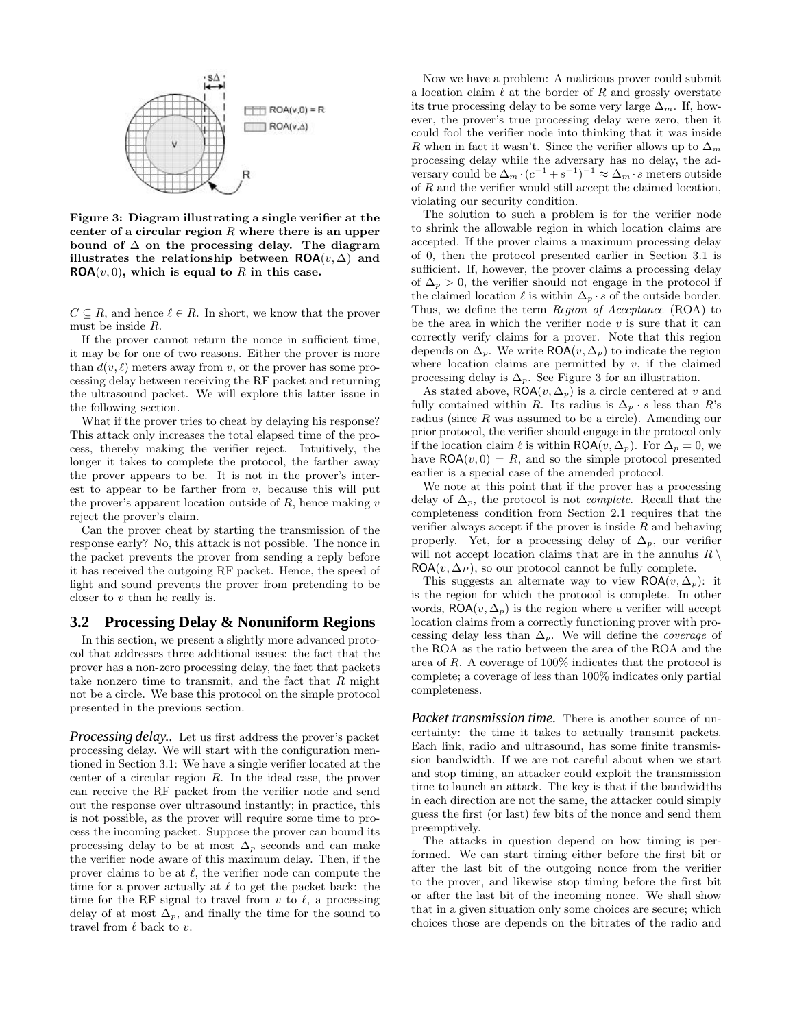

Figure 3: Diagram illustrating a single verifier at the center of a circular region  $R$  where there is an upper bound of  $\Delta$  on the processing delay. The diagram illustrates the relationship between  $\textsf{ROA}(v, \Delta)$  and  $\mathsf{ROA}(v, 0)$ , which is equal to R in this case.

 $C \subseteq R$ , and hence  $\ell \in R$ . In short, we know that the prover must be inside R.

If the prover cannot return the nonce in sufficient time, it may be for one of two reasons. Either the prover is more than  $d(v, \ell)$  meters away from v, or the prover has some processing delay between receiving the RF packet and returning the ultrasound packet. We will explore this latter issue in the following section.

What if the prover tries to cheat by delaying his response? This attack only increases the total elapsed time of the process, thereby making the verifier reject. Intuitively, the longer it takes to complete the protocol, the farther away the prover appears to be. It is not in the prover's interest to appear to be farther from  $v$ , because this will put the prover's apparent location outside of  $R$ , hence making  $v$ reject the prover's claim.

Can the prover cheat by starting the transmission of the response early? No, this attack is not possible. The nonce in the packet prevents the prover from sending a reply before it has received the outgoing RF packet. Hence, the speed of light and sound prevents the prover from pretending to be closer to  $v$  than he really is.

## **3.2 Processing Delay & Nonuniform Regions**

In this section, we present a slightly more advanced protocol that addresses three additional issues: the fact that the prover has a non-zero processing delay, the fact that packets take nonzero time to transmit, and the fact that  $R$  might not be a circle. We base this protocol on the simple protocol presented in the previous section.

*Processing delay..* Let us first address the prover's packet processing delay. We will start with the configuration mentioned in Section 3.1: We have a single verifier located at the center of a circular region R. In the ideal case, the prover can receive the RF packet from the verifier node and send out the response over ultrasound instantly; in practice, this is not possible, as the prover will require some time to process the incoming packet. Suppose the prover can bound its processing delay to be at most  $\Delta_p$  seconds and can make the verifier node aware of this maximum delay. Then, if the prover claims to be at  $\ell$ , the verifier node can compute the time for a prover actually at  $\ell$  to get the packet back: the time for the RF signal to travel from  $v$  to  $\ell$ , a processing delay of at most  $\Delta_p$ , and finally the time for the sound to travel from  $\ell$  back to  $v$ .

Now we have a problem: A malicious prover could submit a location claim  $\ell$  at the border of R and grossly overstate its true processing delay to be some very large  $\Delta_m$ . If, however, the prover's true processing delay were zero, then it could fool the verifier node into thinking that it was inside R when in fact it wasn't. Since the verifier allows up to  $\Delta_m$ processing delay while the adversary has no delay, the adversary could be  $\Delta_m \cdot (c^{-1} + s^{-1})^{-1} \approx \Delta_m \cdot s$  meters outside of R and the verifier would still accept the claimed location, violating our security condition.

The solution to such a problem is for the verifier node to shrink the allowable region in which location claims are accepted. If the prover claims a maximum processing delay of 0, then the protocol presented earlier in Section 3.1 is sufficient. If, however, the prover claims a processing delay of  $\Delta_p > 0$ , the verifier should not engage in the protocol if the claimed location  $\ell$  is within  $\Delta_p \cdot s$  of the outside border. Thus, we define the term Region of Acceptance (ROA) to be the area in which the verifier node  $v$  is sure that it can correctly verify claims for a prover. Note that this region depends on  $\Delta_p$ . We write ROA $(v, \Delta_p)$  to indicate the region where location claims are permitted by  $v$ , if the claimed processing delay is  $\Delta_p$ . See Figure 3 for an illustration.

As stated above,  $\mathsf{ROA}(v, \Delta_p)$  is a circle centered at v and fully contained within R. Its radius is  $\Delta_p \cdot s$  less than R's radius (since R was assumed to be a circle). Amending our prior protocol, the verifier should engage in the protocol only if the location claim  $\ell$  is within ROA(v,  $\Delta_p$ ). For  $\Delta_p = 0$ , we have  $\textsf{ROA}(v, 0) = R$ , and so the simple protocol presented earlier is a special case of the amended protocol.

We note at this point that if the prover has a processing delay of  $\Delta_p$ , the protocol is not *complete*. Recall that the completeness condition from Section 2.1 requires that the verifier always accept if the prover is inside  $R$  and behaving properly. Yet, for a processing delay of  $\Delta_p$ , our verifier will not accept location claims that are in the annulus  $R \setminus$  $ROA(v, \Delta_P)$ , so our protocol cannot be fully complete.

This suggests an alternate way to view  $\mathsf{ROA}(v, \Delta_n)$ : it is the region for which the protocol is complete. In other words,  $\mathsf{ROA}(v, \Delta_p)$  is the region where a verifier will accept location claims from a correctly functioning prover with processing delay less than  $\Delta_p$ . We will define the *coverage* of the ROA as the ratio between the area of the ROA and the area of R. A coverage of 100% indicates that the protocol is complete; a coverage of less than 100% indicates only partial completeness.

*Packet transmission time.* There is another source of uncertainty: the time it takes to actually transmit packets. Each link, radio and ultrasound, has some finite transmission bandwidth. If we are not careful about when we start and stop timing, an attacker could exploit the transmission time to launch an attack. The key is that if the bandwidths in each direction are not the same, the attacker could simply guess the first (or last) few bits of the nonce and send them preemptively.

The attacks in question depend on how timing is performed. We can start timing either before the first bit or after the last bit of the outgoing nonce from the verifier to the prover, and likewise stop timing before the first bit or after the last bit of the incoming nonce. We shall show that in a given situation only some choices are secure; which choices those are depends on the bitrates of the radio and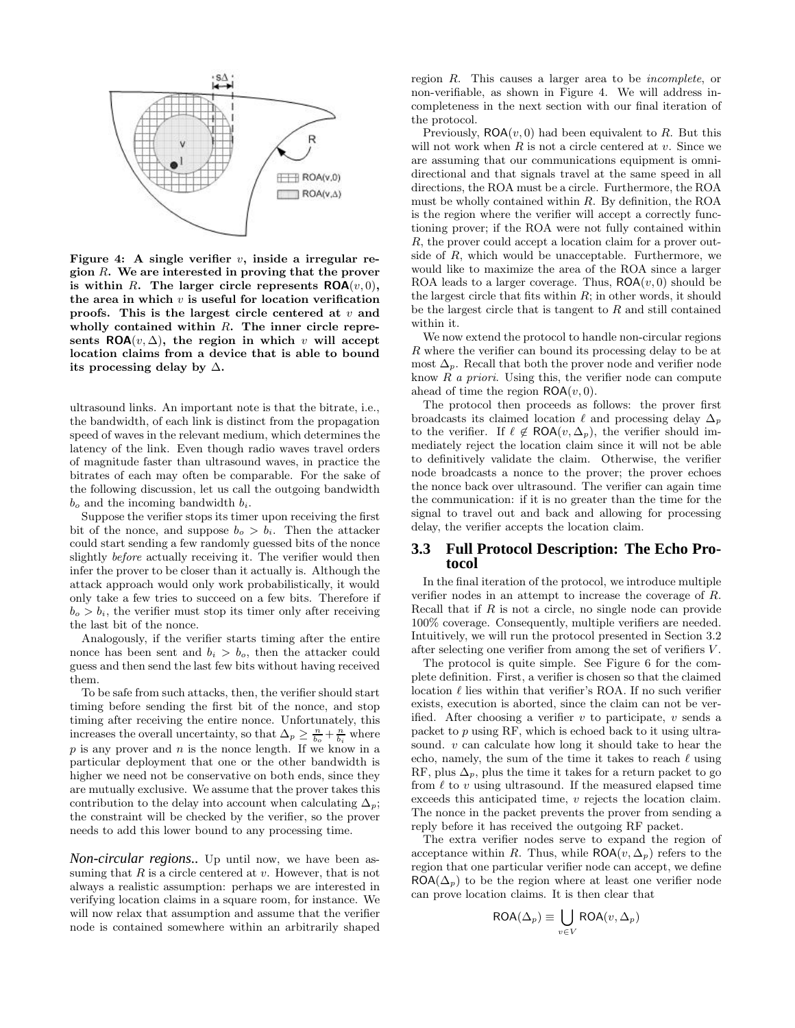

Figure 4: A single verifier  $v$ , inside a irregular region  $R$ . We are interested in proving that the prover is within R. The larger circle represents  $\mathsf{ROA}(v,0)$ , the area in which  $v$  is useful for location verification proofs. This is the largest circle centered at  $v$  and wholly contained within  $R$ . The inner circle represents  $\mathsf{ROA}(v, \Delta)$ , the region in which v will accept location claims from a device that is able to bound its processing delay by  $\Delta$ .

ultrasound links. An important note is that the bitrate, i.e., the bandwidth, of each link is distinct from the propagation speed of waves in the relevant medium, which determines the latency of the link. Even though radio waves travel orders of magnitude faster than ultrasound waves, in practice the bitrates of each may often be comparable. For the sake of the following discussion, let us call the outgoing bandwidth  $b<sub>o</sub>$  and the incoming bandwidth  $b<sub>i</sub>$ .

Suppose the verifier stops its timer upon receiving the first bit of the nonce, and suppose  $b<sub>o</sub> > b<sub>i</sub>$ . Then the attacker could start sending a few randomly guessed bits of the nonce slightly before actually receiving it. The verifier would then infer the prover to be closer than it actually is. Although the attack approach would only work probabilistically, it would only take a few tries to succeed on a few bits. Therefore if  $b<sub>o</sub> > b<sub>i</sub>$ , the verifier must stop its timer only after receiving the last bit of the nonce.

Analogously, if the verifier starts timing after the entire nonce has been sent and  $b_i > b_o$ , then the attacker could guess and then send the last few bits without having received them.

To be safe from such attacks, then, the verifier should start timing before sending the first bit of the nonce, and stop timing after receiving the entire nonce. Unfortunately, this increases the overall uncertainty, so that  $\Delta_p \geq \frac{n}{b_o} + \frac{n}{b_i}$  where  $\boldsymbol{p}$  is any prover and  $\boldsymbol{n}$  is the nonce length. If we know in a particular deployment that one or the other bandwidth is higher we need not be conservative on both ends, since they are mutually exclusive. We assume that the prover takes this contribution to the delay into account when calculating  $\Delta_p$ ; the constraint will be checked by the verifier, so the prover needs to add this lower bound to any processing time.

*Non-circular regions..* Up until now, we have been assuming that  $R$  is a circle centered at  $v$ . However, that is not always a realistic assumption: perhaps we are interested in verifying location claims in a square room, for instance. We will now relax that assumption and assume that the verifier node is contained somewhere within an arbitrarily shaped region R. This causes a larger area to be incomplete, or non-verifiable, as shown in Figure 4. We will address incompleteness in the next section with our final iteration of the protocol.

Previously,  $ROA(v, 0)$  had been equivalent to R. But this will not work when  $R$  is not a circle centered at  $v$ . Since we are assuming that our communications equipment is omnidirectional and that signals travel at the same speed in all directions, the ROA must be a circle. Furthermore, the ROA must be wholly contained within  $R$ . By definition, the ROA is the region where the verifier will accept a correctly functioning prover; if the ROA were not fully contained within R, the prover could accept a location claim for a prover outside of  $R$ , which would be unacceptable. Furthermore, we would like to maximize the area of the ROA since a larger ROA leads to a larger coverage. Thus,  $ROA(v, 0)$  should be the largest circle that fits within  $R$ ; in other words, it should be the largest circle that is tangent to  $R$  and still contained within it.

We now extend the protocol to handle non-circular regions R where the verifier can bound its processing delay to be at most  $\Delta_p$ . Recall that both the prover node and verifier node know  $R$  a priori. Using this, the verifier node can compute ahead of time the region  $\mathsf{ROA}(v, 0)$ .

The protocol then proceeds as follows: the prover first broadcasts its claimed location  $\ell$  and processing delay  $\Delta_p$ to the verifier. If  $\ell \notin \text{ROA}(v, \Delta_p)$ , the verifier should immediately reject the location claim since it will not be able to definitively validate the claim. Otherwise, the verifier node broadcasts a nonce to the prover; the prover echoes the nonce back over ultrasound. The verifier can again time the communication: if it is no greater than the time for the signal to travel out and back and allowing for processing delay, the verifier accepts the location claim.

#### **3.3 Full Protocol Description: The Echo Protocol**

In the final iteration of the protocol, we introduce multiple verifier nodes in an attempt to increase the coverage of R. Recall that if  $R$  is not a circle, no single node can provide 100% coverage. Consequently, multiple verifiers are needed. Intuitively, we will run the protocol presented in Section 3.2 after selecting one verifier from among the set of verifiers V .

The protocol is quite simple. See Figure 6 for the complete definition. First, a verifier is chosen so that the claimed location  $\ell$  lies within that verifier's ROA. If no such verifier exists, execution is aborted, since the claim can not be verified. After choosing a verifier  $v$  to participate,  $v$  sends a packet to p using RF, which is echoed back to it using ultrasound.  $v$  can calculate how long it should take to hear the echo, namely, the sum of the time it takes to reach  $\ell$  using RF, plus  $\Delta_p$ , plus the time it takes for a return packet to go from  $\ell$  to v using ultrasound. If the measured elapsed time exceeds this anticipated time, v rejects the location claim. The nonce in the packet prevents the prover from sending a reply before it has received the outgoing RF packet.

The extra verifier nodes serve to expand the region of acceptance within R. Thus, while  $\mathsf{ROA}(v, \Delta_p)$  refers to the region that one particular verifier node can accept, we define  $ROA(\Delta_n)$  to be the region where at least one verifier node can prove location claims. It is then clear that

$$
\mathsf{ROA}(\Delta_p) \equiv \bigcup_{v \in V} \mathsf{ROA}(v, \Delta_p)
$$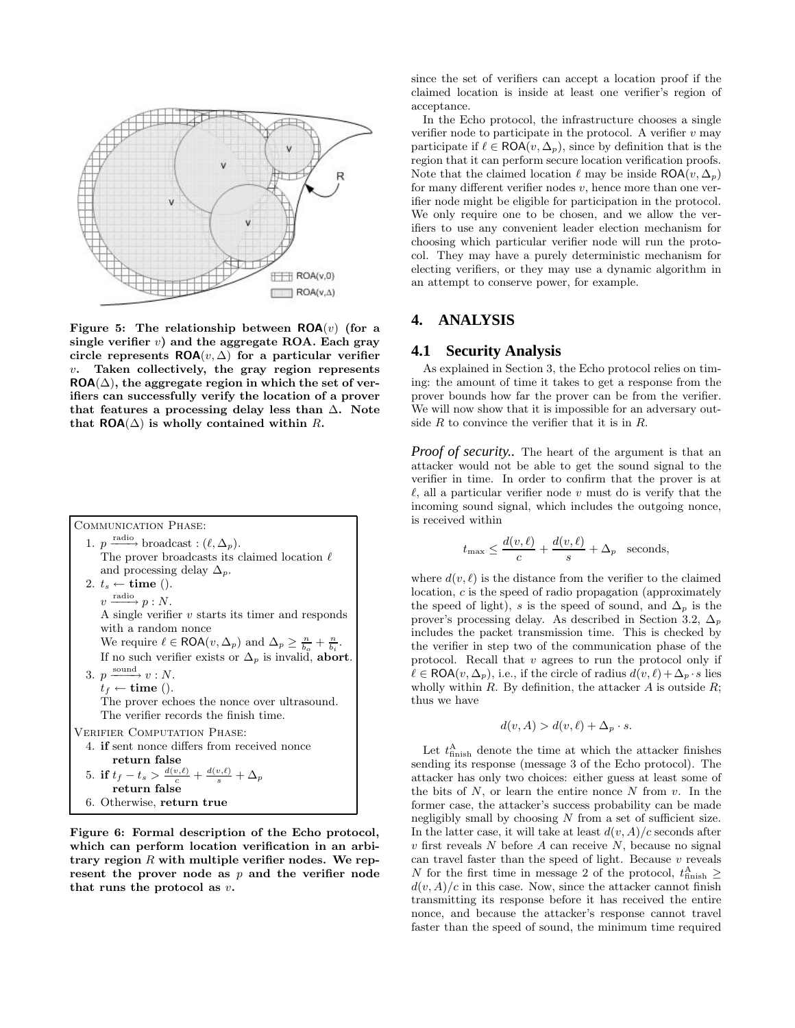

Figure 5: The relationship between  $\mathsf{ROA}(v)$  (for a single verifier  $v$ ) and the aggregate ROA. Each gray circle represents  $\textsf{ROA}(v, \Delta)$  for a particular verifier  $v$ . Taken collectively, the gray region represents  $ROA(\Delta)$ , the aggregate region in which the set of verifiers can successfully verify the location of a prover that features a processing delay less than  $\Delta$ . Note that  $\mathsf{ROA}(\Delta)$  is wholly contained within R.

| <b>COMMUNICATION PHASE:</b>                                                                       |
|---------------------------------------------------------------------------------------------------|
| 1. $p \xrightarrow{\text{radio}} \text{broadcast}: (\ell, \Delta_p).$                             |
| The prover broadcasts its claimed location $\ell$                                                 |
| and processing delay $\Delta_p$ .                                                                 |
| 2. $t_s \leftarrow$ time ().                                                                      |
| $v \xrightarrow{\text{radio}} p : N.$                                                             |
| A single verifier $v$ starts its timer and responds                                               |
| with a random nonce                                                                               |
| We require $\ell \in \text{ROA}(v, \Delta_p)$ and $\Delta_p \geq \frac{n}{b_o} + \frac{n}{b_i}$ . |
| If no such verifier exists or $\Delta_p$ is invalid, abort.                                       |
| 3. $p \xrightarrow{\text{sound}} v : N$ .                                                         |
| $t_f \leftarrow$ time ().                                                                         |
| The prover echoes the nonce over ultrasound.                                                      |
| The verifier records the finish time.                                                             |
| <b>VERIFIER COMPUTATION PHASE:</b>                                                                |
| 4. <b>if</b> sent nonce differs from received nonce                                               |
| return false                                                                                      |
| 5. if $t_f - t_s > \frac{d(v,\ell)}{c} + \frac{d(v,\ell)}{s} + \Delta_p$                          |
| return false                                                                                      |
| 6. Otherwise, return true                                                                         |

Figure 6: Formal description of the Echo protocol, which can perform location verification in an arbitrary region  $R$  with multiple verifier nodes. We represent the prover node as  $p$  and the verifier node that runs the protocol as v.

since the set of verifiers can accept a location proof if the claimed location is inside at least one verifier's region of acceptance.

In the Echo protocol, the infrastructure chooses a single verifier node to participate in the protocol. A verifier  $v$  may participate if  $\ell \in \text{ROA}(v, \Delta_p)$ , since by definition that is the region that it can perform secure location verification proofs. Note that the claimed location  $\ell$  may be inside ROA(v,  $\Delta_p$ ) for many different verifier nodes  $v$ , hence more than one verifier node might be eligible for participation in the protocol. We only require one to be chosen, and we allow the verifiers to use any convenient leader election mechanism for choosing which particular verifier node will run the protocol. They may have a purely deterministic mechanism for electing verifiers, or they may use a dynamic algorithm in an attempt to conserve power, for example.

## **4. ANALYSIS**

#### **4.1 Security Analysis**

As explained in Section 3, the Echo protocol relies on timing: the amount of time it takes to get a response from the prover bounds how far the prover can be from the verifier. We will now show that it is impossible for an adversary outside  $R$  to convince the verifier that it is in  $R$ .

*Proof of security..* The heart of the argument is that an attacker would not be able to get the sound signal to the verifier in time. In order to confirm that the prover is at  $\ell$ , all a particular verifier node v must do is verify that the incoming sound signal, which includes the outgoing nonce, is received within

$$
t_{\max} \le \frac{d(v,\ell)}{c} + \frac{d(v,\ell)}{s} + \Delta_p
$$
 seconds,

where  $d(v, \ell)$  is the distance from the verifier to the claimed location, c is the speed of radio propagation (approximately the speed of light), s is the speed of sound, and  $\Delta_p$  is the prover's processing delay. As described in Section 3.2,  $\Delta_p$ includes the packet transmission time. This is checked by the verifier in step two of the communication phase of the protocol. Recall that  $v$  agrees to run the protocol only if  $\ell \in \textsf{ROA}(v, \Delta_p)$ , i.e., if the circle of radius  $d(v, \ell) + \Delta_p \cdot s$  lies wholly within R. By definition, the attacker A is outside  $R$ ; thus we have

$$
d(v, A) > d(v, \ell) + \Delta_p \cdot s.
$$

Let  $t_{\text{finish}}^{\text{A}}$  denote the time at which the attacker finishes sending its response (message 3 of the Echo protocol). The attacker has only two choices: either guess at least some of the bits of  $N$ , or learn the entire nonce  $N$  from  $v$ . In the former case, the attacker's success probability can be made negligibly small by choosing  $N$  from a set of sufficient size. In the latter case, it will take at least  $d(v, A)/c$  seconds after  $v$  first reveals  $N$  before  $A$  can receive  $N$ , because no signal can travel faster than the speed of light. Because  $v$  reveals N for the first time in message 2 of the protocol,  $t_{\text{finish}}^{\text{A}} \geq$  $d(v, A)/c$  in this case. Now, since the attacker cannot finish transmitting its response before it has received the entire nonce, and because the attacker's response cannot travel faster than the speed of sound, the minimum time required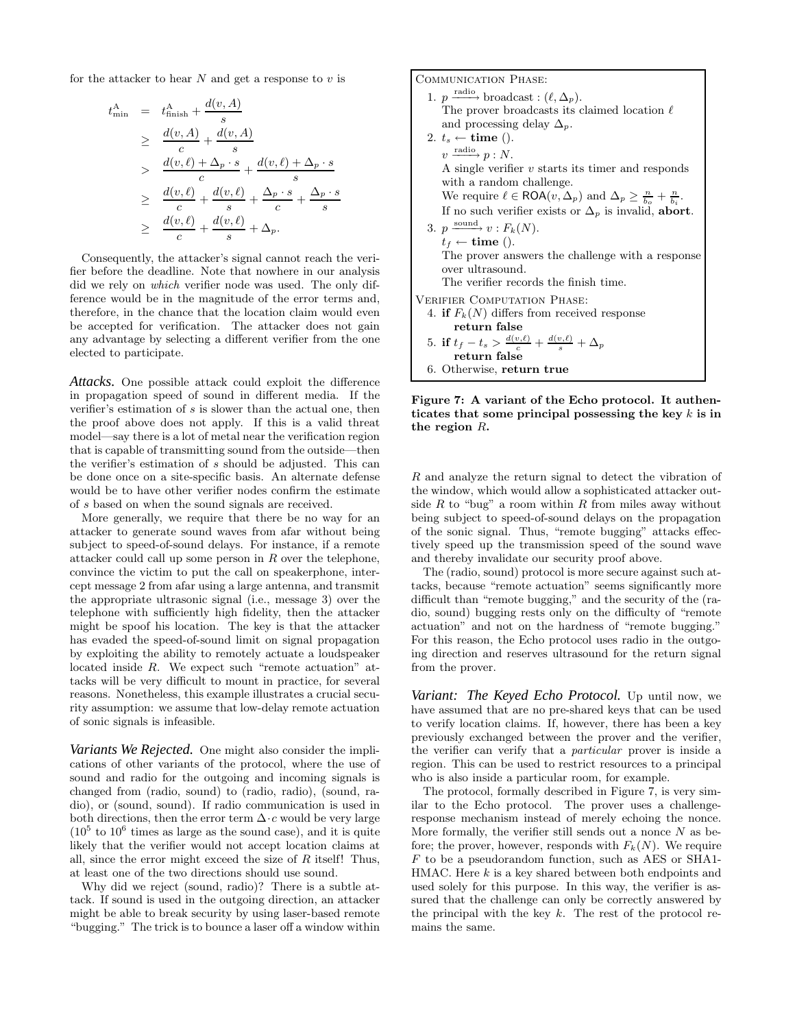for the attacker to hear  $N$  and get a response to  $v$  is

$$
t_{\min}^{\mathbf{A}} = t_{\text{finish}}^{\mathbf{A}} + \frac{d(v, A)}{s}
$$
  
\n
$$
\geq \frac{d(v, A)}{c} + \frac{d(v, A)}{s}
$$
  
\n
$$
> \frac{d(v, \ell) + \Delta_p \cdot s}{c} + \frac{d(v, \ell) + \Delta_p \cdot s}{s}
$$
  
\n
$$
\geq \frac{d(v, \ell)}{c} + \frac{d(v, \ell)}{s} + \frac{\Delta_p \cdot s}{c} + \frac{\Delta_p \cdot s}{s}
$$
  
\n
$$
\geq \frac{d(v, \ell)}{c} + \frac{d(v, \ell)}{s} + \Delta_p.
$$

Consequently, the attacker's signal cannot reach the verifier before the deadline. Note that nowhere in our analysis did we rely on which verifier node was used. The only difference would be in the magnitude of the error terms and, therefore, in the chance that the location claim would even be accepted for verification. The attacker does not gain any advantage by selecting a different verifier from the one elected to participate.

*Attacks.* One possible attack could exploit the difference in propagation speed of sound in different media. If the verifier's estimation of s is slower than the actual one, then the proof above does not apply. If this is a valid threat model—say there is a lot of metal near the verification region that is capable of transmitting sound from the outside—then the verifier's estimation of s should be adjusted. This can be done once on a site-specific basis. An alternate defense would be to have other verifier nodes confirm the estimate of s based on when the sound signals are received.

More generally, we require that there be no way for an attacker to generate sound waves from afar without being subject to speed-of-sound delays. For instance, if a remote attacker could call up some person in R over the telephone, convince the victim to put the call on speakerphone, intercept message 2 from afar using a large antenna, and transmit the appropriate ultrasonic signal (i.e., message 3) over the telephone with sufficiently high fidelity, then the attacker might be spoof his location. The key is that the attacker has evaded the speed-of-sound limit on signal propagation by exploiting the ability to remotely actuate a loudspeaker located inside R. We expect such "remote actuation" attacks will be very difficult to mount in practice, for several reasons. Nonetheless, this example illustrates a crucial security assumption: we assume that low-delay remote actuation of sonic signals is infeasible.

*Variants We Rejected.* One might also consider the implications of other variants of the protocol, where the use of sound and radio for the outgoing and incoming signals is changed from (radio, sound) to (radio, radio), (sound, radio), or (sound, sound). If radio communication is used in both directions, then the error term  $\Delta \cdot c$  would be very large  $(10<sup>5</sup>$  to  $10<sup>6</sup>$  times as large as the sound case), and it is quite likely that the verifier would not accept location claims at all, since the error might exceed the size of  $R$  itself! Thus, at least one of the two directions should use sound.

Why did we reject (sound, radio)? There is a subtle attack. If sound is used in the outgoing direction, an attacker might be able to break security by using laser-based remote "bugging." The trick is to bounce a laser off a window within



Figure 7: A variant of the Echo protocol. It authenticates that some principal possessing the key  $k$  is in the region R.

R and analyze the return signal to detect the vibration of the window, which would allow a sophisticated attacker outside  $R$  to "bug" a room within  $R$  from miles away without being subject to speed-of-sound delays on the propagation of the sonic signal. Thus, "remote bugging" attacks effectively speed up the transmission speed of the sound wave and thereby invalidate our security proof above.

The (radio, sound) protocol is more secure against such attacks, because "remote actuation" seems significantly more difficult than "remote bugging," and the security of the (radio, sound) bugging rests only on the difficulty of "remote actuation" and not on the hardness of "remote bugging." For this reason, the Echo protocol uses radio in the outgoing direction and reserves ultrasound for the return signal from the prover.

*Variant: The Keyed Echo Protocol.* Up until now, we have assumed that are no pre-shared keys that can be used to verify location claims. If, however, there has been a key previously exchanged between the prover and the verifier, the verifier can verify that a particular prover is inside a region. This can be used to restrict resources to a principal who is also inside a particular room, for example.

The protocol, formally described in Figure 7, is very similar to the Echo protocol. The prover uses a challengeresponse mechanism instead of merely echoing the nonce. More formally, the verifier still sends out a nonce  $N$  as before; the prover, however, responds with  $F_k(N)$ . We require F to be a pseudorandom function, such as AES or SHA1- HMAC. Here  $k$  is a key shared between both endpoints and used solely for this purpose. In this way, the verifier is assured that the challenge can only be correctly answered by the principal with the key  $k$ . The rest of the protocol remains the same.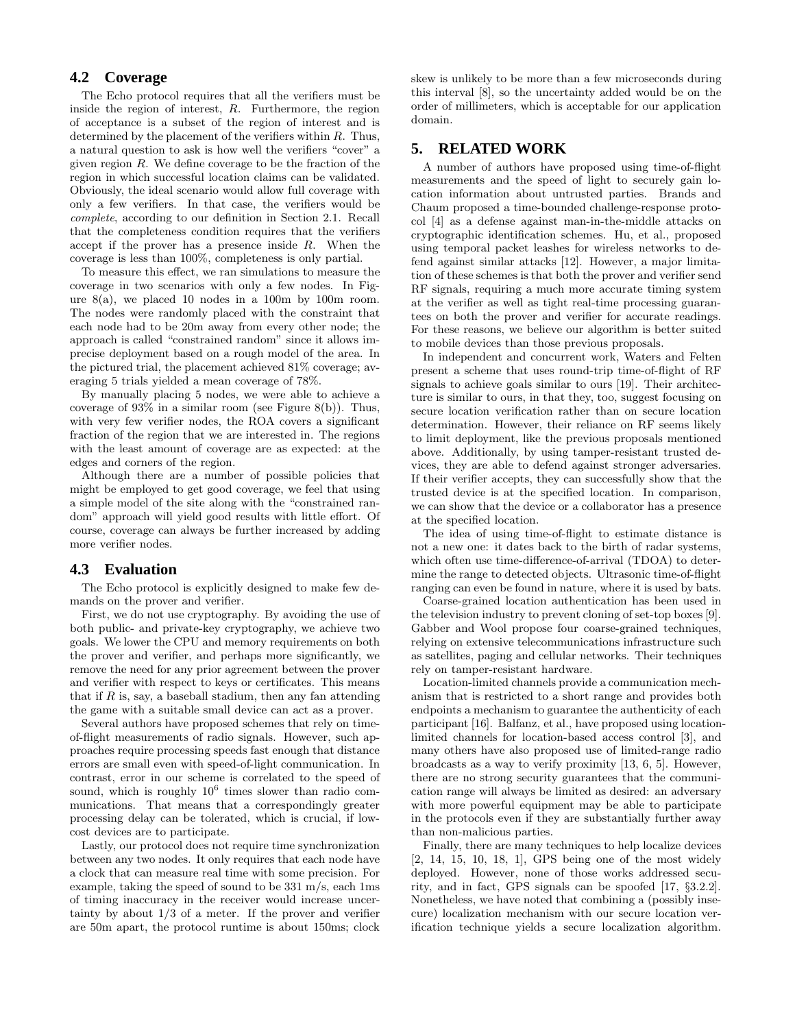## **4.2 Coverage**

The Echo protocol requires that all the verifiers must be inside the region of interest,  $R$ . Furthermore, the region of acceptance is a subset of the region of interest and is determined by the placement of the verifiers within R. Thus, a natural question to ask is how well the verifiers "cover" a given region  $R$ . We define coverage to be the fraction of the region in which successful location claims can be validated. Obviously, the ideal scenario would allow full coverage with only a few verifiers. In that case, the verifiers would be complete, according to our definition in Section 2.1. Recall that the completeness condition requires that the verifiers accept if the prover has a presence inside R. When the coverage is less than 100%, completeness is only partial.

To measure this effect, we ran simulations to measure the coverage in two scenarios with only a few nodes. In Figure  $8(a)$ , we placed 10 nodes in a 100m by 100m room. The nodes were randomly placed with the constraint that each node had to be 20m away from every other node; the approach is called "constrained random" since it allows imprecise deployment based on a rough model of the area. In the pictured trial, the placement achieved 81% coverage; averaging 5 trials yielded a mean coverage of 78%.

By manually placing 5 nodes, we were able to achieve a coverage of  $93\%$  in a similar room (see Figure 8(b)). Thus, with very few verifier nodes, the ROA covers a significant fraction of the region that we are interested in. The regions with the least amount of coverage are as expected: at the edges and corners of the region.

Although there are a number of possible policies that might be employed to get good coverage, we feel that using a simple model of the site along with the "constrained random" approach will yield good results with little effort. Of course, coverage can always be further increased by adding more verifier nodes.

#### **4.3 Evaluation**

The Echo protocol is explicitly designed to make few demands on the prover and verifier.

First, we do not use cryptography. By avoiding the use of both public- and private-key cryptography, we achieve two goals. We lower the CPU and memory requirements on both the prover and verifier, and perhaps more significantly, we remove the need for any prior agreement between the prover and verifier with respect to keys or certificates. This means that if  $R$  is, say, a baseball stadium, then any fan attending the game with a suitable small device can act as a prover.

Several authors have proposed schemes that rely on timeof-flight measurements of radio signals. However, such approaches require processing speeds fast enough that distance errors are small even with speed-of-light communication. In contrast, error in our scheme is correlated to the speed of sound, which is roughly  $10^6$  times slower than radio communications. That means that a correspondingly greater processing delay can be tolerated, which is crucial, if lowcost devices are to participate.

Lastly, our protocol does not require time synchronization between any two nodes. It only requires that each node have a clock that can measure real time with some precision. For example, taking the speed of sound to be 331 m/s, each 1ms of timing inaccuracy in the receiver would increase uncertainty by about  $1/3$  of a meter. If the prover and verifier are 50m apart, the protocol runtime is about 150ms; clock skew is unlikely to be more than a few microseconds during this interval [8], so the uncertainty added would be on the order of millimeters, which is acceptable for our application domain.

## **5. RELATED WORK**

A number of authors have proposed using time-of-flight measurements and the speed of light to securely gain location information about untrusted parties. Brands and Chaum proposed a time-bounded challenge-response protocol [4] as a defense against man-in-the-middle attacks on cryptographic identification schemes. Hu, et al., proposed using temporal packet leashes for wireless networks to defend against similar attacks [12]. However, a major limitation of these schemes is that both the prover and verifier send RF signals, requiring a much more accurate timing system at the verifier as well as tight real-time processing guarantees on both the prover and verifier for accurate readings. For these reasons, we believe our algorithm is better suited to mobile devices than those previous proposals.

In independent and concurrent work, Waters and Felten present a scheme that uses round-trip time-of-flight of RF signals to achieve goals similar to ours [19]. Their architecture is similar to ours, in that they, too, suggest focusing on secure location verification rather than on secure location determination. However, their reliance on RF seems likely to limit deployment, like the previous proposals mentioned above. Additionally, by using tamper-resistant trusted devices, they are able to defend against stronger adversaries. If their verifier accepts, they can successfully show that the trusted device is at the specified location. In comparison, we can show that the device or a collaborator has a presence at the specified location.

The idea of using time-of-flight to estimate distance is not a new one: it dates back to the birth of radar systems, which often use time-difference-of-arrival (TDOA) to determine the range to detected objects. Ultrasonic time-of-flight ranging can even be found in nature, where it is used by bats.

Coarse-grained location authentication has been used in the television industry to prevent cloning of set-top boxes [9]. Gabber and Wool propose four coarse-grained techniques, relying on extensive telecommunications infrastructure such as satellites, paging and cellular networks. Their techniques rely on tamper-resistant hardware.

Location-limited channels provide a communication mechanism that is restricted to a short range and provides both endpoints a mechanism to guarantee the authenticity of each participant [16]. Balfanz, et al., have proposed using locationlimited channels for location-based access control [3], and many others have also proposed use of limited-range radio broadcasts as a way to verify proximity [13, 6, 5]. However, there are no strong security guarantees that the communication range will always be limited as desired: an adversary with more powerful equipment may be able to participate in the protocols even if they are substantially further away than non-malicious parties.

Finally, there are many techniques to help localize devices [2, 14, 15, 10, 18, 1], GPS being one of the most widely deployed. However, none of those works addressed security, and in fact, GPS signals can be spoofed [17, §3.2.2]. Nonetheless, we have noted that combining a (possibly insecure) localization mechanism with our secure location verification technique yields a secure localization algorithm.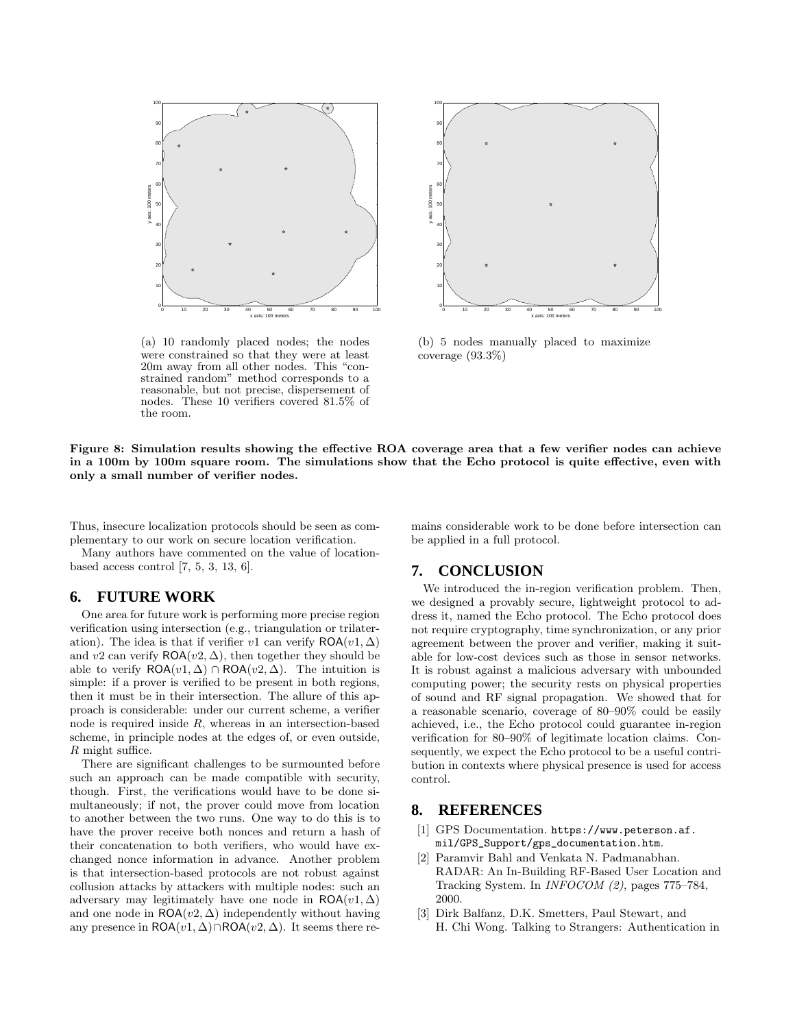

(a) 10 randomly placed nodes; the nodes were constrained so that they were at least 20m away from all other nodes. This "constrained random" method corresponds to a reasonable, but not precise, dispersement of nodes. These 10 verifiers covered 81.5% of the room.



(b) 5 nodes manually placed to maximize coverage (93.3%)



Thus, insecure localization protocols should be seen as complementary to our work on secure location verification.

Many authors have commented on the value of locationbased access control [7, 5, 3, 13, 6].

## **6. FUTURE WORK**

One area for future work is performing more precise region verification using intersection (e.g., triangulation or trilateration). The idea is that if verifier v1 can verify  $\mathsf{ROA}(v1,\Delta)$ and v2 can verify  $ROA(v2, \Delta)$ , then together they should be able to verify  $ROA(v1, \Delta) \cap ROA(v2, \Delta)$ . The intuition is simple: if a prover is verified to be present in both regions, then it must be in their intersection. The allure of this approach is considerable: under our current scheme, a verifier node is required inside R, whereas in an intersection-based scheme, in principle nodes at the edges of, or even outside, R might suffice.

There are significant challenges to be surmounted before such an approach can be made compatible with security, though. First, the verifications would have to be done simultaneously; if not, the prover could move from location to another between the two runs. One way to do this is to have the prover receive both nonces and return a hash of their concatenation to both verifiers, who would have exchanged nonce information in advance. Another problem is that intersection-based protocols are not robust against collusion attacks by attackers with multiple nodes: such an adversary may legitimately have one node in  $ROA(v1, \Delta)$ and one node in  $\mathsf{ROA}(v2,\Delta)$  independently without having any presence in  $\mathsf{ROA}(v1,\Delta)\cap \mathsf{ROA}(v2,\Delta)$ . It seems there remains considerable work to be done before intersection can be applied in a full protocol.

### **7. CONCLUSION**

We introduced the in-region verification problem. Then, we designed a provably secure, lightweight protocol to address it, named the Echo protocol. The Echo protocol does not require cryptography, time synchronization, or any prior agreement between the prover and verifier, making it suitable for low-cost devices such as those in sensor networks. It is robust against a malicious adversary with unbounded computing power; the security rests on physical properties of sound and RF signal propagation. We showed that for a reasonable scenario, coverage of 80–90% could be easily achieved, i.e., the Echo protocol could guarantee in-region verification for 80–90% of legitimate location claims. Consequently, we expect the Echo protocol to be a useful contribution in contexts where physical presence is used for access control.

## **8. REFERENCES**

- [1] GPS Documentation. https://www.peterson.af. mil/GPS\_Support/gps\_documentation.htm.
- [2] Paramvir Bahl and Venkata N. Padmanabhan. RADAR: An In-Building RF-Based User Location and Tracking System. In INFOCOM (2), pages 775–784, 2000.
- [3] Dirk Balfanz, D.K. Smetters, Paul Stewart, and H. Chi Wong. Talking to Strangers: Authentication in